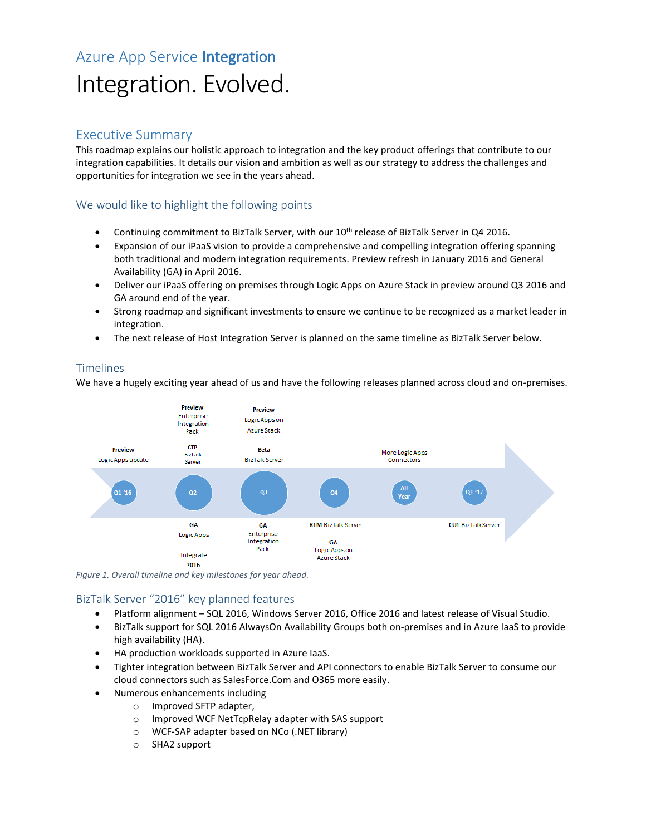# Azure App Service Integration Integration. Evolved.

#### Executive Summary

This roadmap explains our holistic approach to integration and the key product offerings that contribute to our integration capabilities. It details our vision and ambition as well as our strategy to address the challenges and opportunities for integration we see in the years ahead.

#### We would like to highlight the following points

- Continuing commitment to BizTalk Server, with our  $10^{th}$  release of BizTalk Server in Q4 2016.
- Expansion of our iPaaS vision to provide a comprehensive and compelling integration offering spanning both traditional and modern integration requirements. Preview refresh in January 2016 and General Availability (GA) in April 2016.
- Deliver our iPaaS offering on premises through Logic Apps on Azure Stack in preview around Q3 2016 and GA around end of the year.
- Strong roadmap and significant investments to ensure we continue to be recognized as a market leader in integration.
- The next release of Host Integration Server is planned on the same timeline as BizTalk Server below.

#### Timelines

We have a hugely exciting year ahead of us and have the following releases planned across cloud and on-premises.



*Figure 1. Overall timeline and key milestones for year ahead.*

#### BizTalk Server "2016" key planned features

- Platform alignment SQL 2016, Windows Server 2016, Office 2016 and latest release of Visual Studio.
- BizTalk support for SQL 2016 AlwaysOn Availability Groups both on-premises and in Azure IaaS to provide high availability (HA).
- HA production workloads supported in Azure IaaS.
- Tighter integration between BizTalk Server and API connectors to enable BizTalk Server to consume our cloud connectors such as SalesForce.Com and O365 more easily.
- Numerous enhancements including
	- o Improved SFTP adapter,
	- o Improved WCF NetTcpRelay adapter with SAS support
	- o WCF-SAP adapter based on NCo (.NET library)
	- o SHA2 support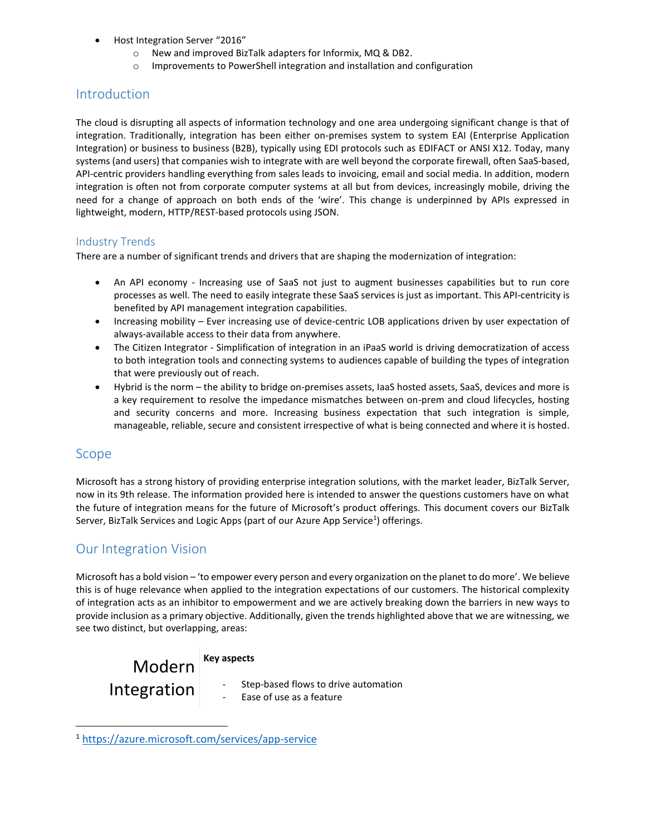- Host Integration Server "2016"
	- o New and improved BizTalk adapters for Informix, MQ & DB2.
	- o Improvements to PowerShell integration and installation and configuration

#### **Introduction**

The cloud is disrupting all aspects of information technology and one area undergoing significant change is that of integration. Traditionally, integration has been either on-premises system to system EAI (Enterprise Application Integration) or business to business (B2B), typically using EDI protocols such as EDIFACT or ANSI X12. Today, many systems (and users) that companies wish to integrate with are well beyond the corporate firewall, often SaaS-based, API-centric providers handling everything from sales leads to invoicing, email and social media. In addition, modern integration is often not from corporate computer systems at all but from devices, increasingly mobile, driving the need for a change of approach on both ends of the 'wire'. This change is underpinned by APIs expressed in lightweight, modern, HTTP/REST-based protocols using JSON.

#### Industry Trends

There are a number of significant trends and drivers that are shaping the modernization of integration:

- An API economy Increasing use of SaaS not just to augment businesses capabilities but to run core processes as well. The need to easily integrate these SaaS services is just as important. This API-centricity is benefited by API management integration capabilities.
- Increasing mobility Ever increasing use of device-centric LOB applications driven by user expectation of always-available access to their data from anywhere.
- The Citizen Integrator Simplification of integration in an iPaaS world is driving democratization of access to both integration tools and connecting systems to audiences capable of building the types of integration that were previously out of reach.
- Hybrid is the norm the ability to bridge on-premises assets, IaaS hosted assets, SaaS, devices and more is a key requirement to resolve the impedance mismatches between on-prem and cloud lifecycles, hosting and security concerns and more. Increasing business expectation that such integration is simple, manageable, reliable, secure and consistent irrespective of what is being connected and where it is hosted.

#### Scope

 $\overline{\phantom{a}}$ 

Microsoft has a strong history of providing enterprise integration solutions, with the market leader, BizTalk Server, now in its 9th release. The information provided here is intended to answer the questions customers have on what the future of integration means for the future of Microsoft's product offerings. This document covers our BizTalk Server, BizTalk Services and Logic Apps (part of our Azure App Service<sup>1</sup>) offerings.

#### Our Integration Vision

Microsoft has a bold vision – 'to empower every person and every organization on the planet to do more'. We believe this is of huge relevance when applied to the integration expectations of our customers. The historical complexity of integration acts as an inhibitor to empowerment and we are actively breaking down the barriers in new ways to provide inclusion as a primary objective. Additionally, given the trends highlighted above that we are witnessing, we see two distinct, but overlapping, areas:

Modern Integration **Key aspects**

- Step-based flows to drive automation
- Ease of use as a feature

<sup>1</sup> [https://azure.microsoft.com/services/app-service](https://azure.microsoft.com/en-us/services/app-service)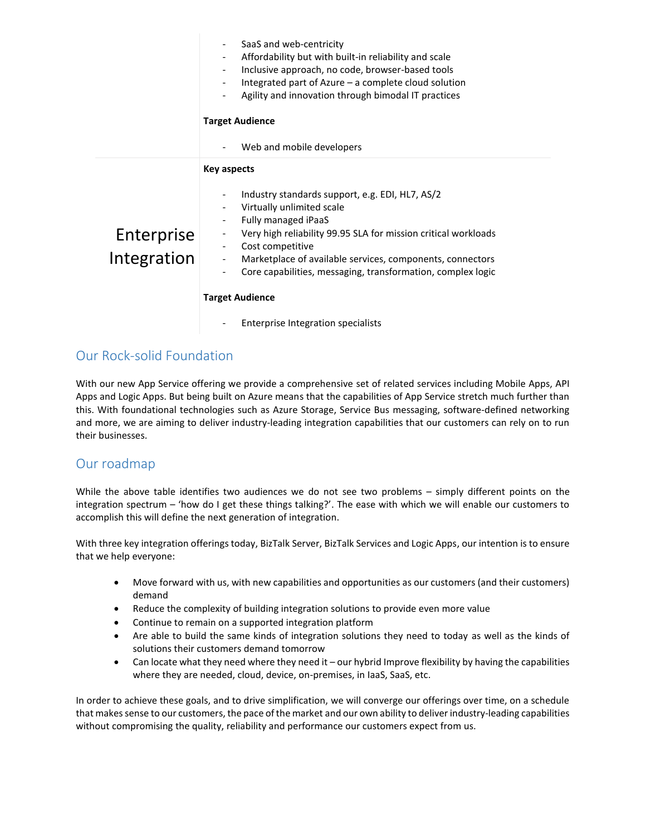|             | SaaS and web-centricity<br>Affordability but with built-in reliability and scale<br>Inclusive approach, no code, browser-based tools<br>$\overline{\phantom{a}}$<br>Integrated part of Azure $-$ a complete cloud solution<br>Agility and innovation through bimodal IT practices<br><b>Target Audience</b><br>Web and mobile developers |
|-------------|------------------------------------------------------------------------------------------------------------------------------------------------------------------------------------------------------------------------------------------------------------------------------------------------------------------------------------------|
|             | <b>Key aspects</b>                                                                                                                                                                                                                                                                                                                       |
|             | Industry standards support, e.g. EDI, HL7, AS/2                                                                                                                                                                                                                                                                                          |
|             | Virtually unlimited scale<br>Fully managed iPaaS                                                                                                                                                                                                                                                                                         |
| Enterprise  | Very high reliability 99.95 SLA for mission critical workloads                                                                                                                                                                                                                                                                           |
| Integration | Cost competitive<br>Marketplace of available services, components, connectors<br>$\overline{\phantom{a}}$                                                                                                                                                                                                                                |
|             | Core capabilities, messaging, transformation, complex logic                                                                                                                                                                                                                                                                              |
|             | <b>Target Audience</b>                                                                                                                                                                                                                                                                                                                   |
|             | Enterprise Integration specialists                                                                                                                                                                                                                                                                                                       |

### Our Rock-solid Foundation

With our new App Service offering we provide a comprehensive set of related services including Mobile Apps, API Apps and Logic Apps. But being built on Azure means that the capabilities of App Service stretch much further than this. With foundational technologies such as Azure Storage, Service Bus messaging, software-defined networking and more, we are aiming to deliver industry-leading integration capabilities that our customers can rely on to run their businesses.

#### Our roadmap

While the above table identifies two audiences we do not see two problems – simply different points on the integration spectrum – 'how do I get these things talking?'. The ease with which we will enable our customers to accomplish this will define the next generation of integration.

With three key integration offerings today, BizTalk Server, BizTalk Services and Logic Apps, our intention is to ensure that we help everyone:

- Move forward with us, with new capabilities and opportunities as our customers (and their customers) demand
- Reduce the complexity of building integration solutions to provide even more value
- Continue to remain on a supported integration platform
- Are able to build the same kinds of integration solutions they need to today as well as the kinds of solutions their customers demand tomorrow
- Can locate what they need where they need it our hybrid Improve flexibility by having the capabilities where they are needed, cloud, device, on-premises, in IaaS, SaaS, etc.

In order to achieve these goals, and to drive simplification, we will converge our offerings over time, on a schedule that makes sense to our customers, the pace of the market and our own ability to deliver industry-leading capabilities without compromising the quality, reliability and performance our customers expect from us.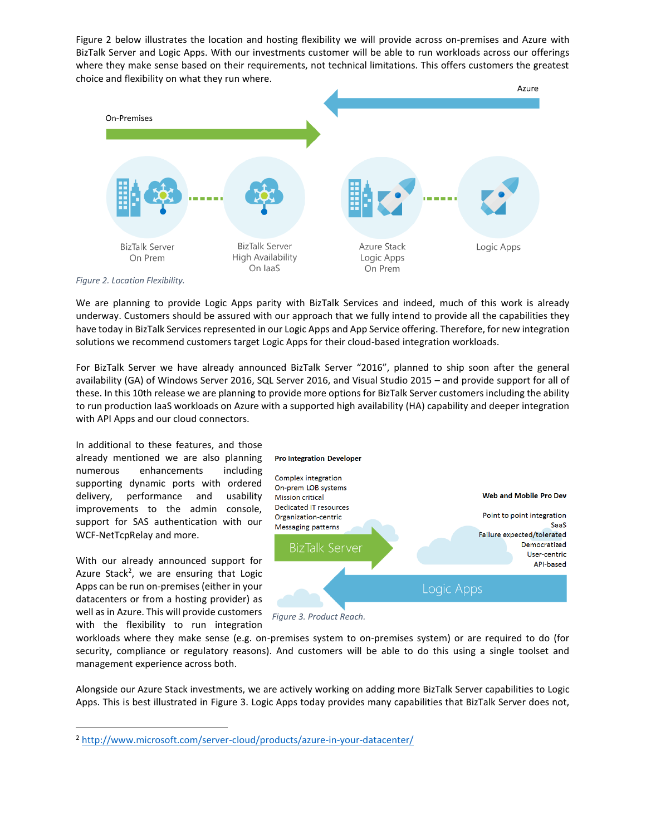Figure 2 below illustrates the location and hosting flexibility we will provide across on-premises and Azure with BizTalk Server and Logic Apps. With our investments customer will be able to run workloads across our offerings where they make sense based on their requirements, not technical limitations. This offers customers the greatest choice and flexibility on what they run where.



We are planning to provide Logic Apps parity with BizTalk Services and indeed, much of this work is already underway. Customers should be assured with our approach that we fully intend to provide all the capabilities they have today in BizTalk Services represented in our Logic Apps and App Service offering. Therefore, for new integration solutions we recommend customers target Logic Apps for their cloud-based integration workloads.

For BizTalk Server we have already announced BizTalk Server "2016", planned to ship soon after the general availability (GA) of Windows Server 2016, SQL Server 2016, and Visual Studio 2015 – and provide support for all of these. In this 10th release we are planning to provide more options for BizTalk Server customers including the ability to run production IaaS workloads on Azure with a supported high availability (HA) capability and deeper integration with API Apps and our cloud connectors.

In additional to these features, and those already mentioned we are also planning numerous enhancements including supporting dynamic ports with ordered delivery, performance and usability improvements to the admin console, support for SAS authentication with our WCF-NetTcpRelay and more.

With our already announced support for Azure Stack<sup>2</sup>, we are ensuring that Logic Apps can be run on-premises (either in your datacenters or from a hosting provider) as well as in Azure. This will provide customers with the flexibility to run integration

l



*Figure 3. Product Reach.*

workloads where they make sense (e.g. on-premises system to on-premises system) or are required to do (for security, compliance or regulatory reasons). And customers will be able to do this using a single toolset and management experience across both.

Alongside our Azure Stack investments, we are actively working on adding more BizTalk Server capabilities to Logic Apps. This is best illustrated in Figure 3. Logic Apps today provides many capabilities that BizTalk Server does not,

<sup>&</sup>lt;sup>2</sup> [http://www.microsoft.com/server-cloud/products/azure-in-your-datacenter/](http://www.microsoft.com/en-us/server-cloud/products/azure-in-your-datacenter/)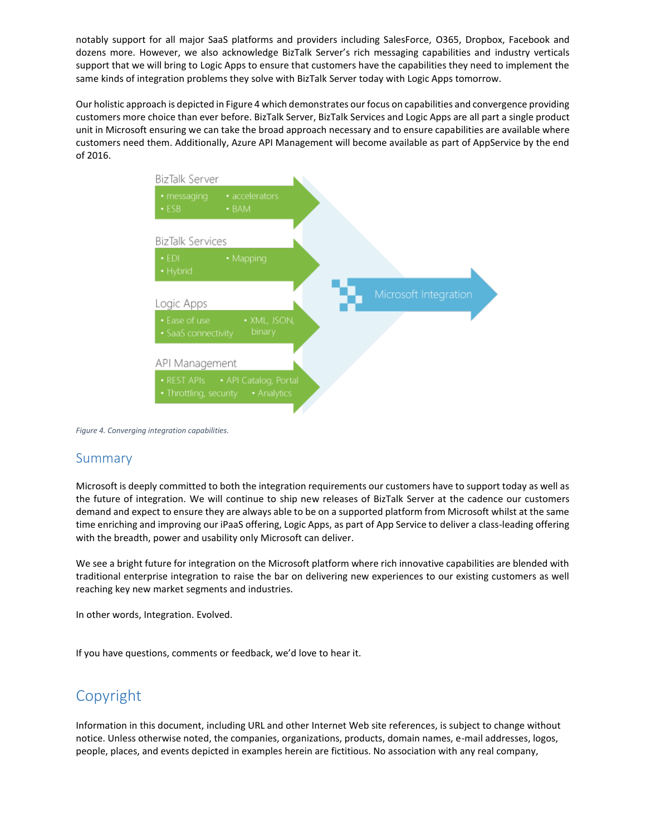notably support for all major SaaS platforms and providers including SalesForce, O365, Dropbox, Facebook and dozens more. However, we also acknowledge BizTalk Server's rich messaging capabilities and industry verticals support that we will bring to Logic Apps to ensure that customers have the capabilities they need to implement the same kinds of integration problems they solve with BizTalk Server today with Logic Apps tomorrow.

Our holistic approach is depicted in Figure 4 which demonstrates our focus on capabilities and convergence providing customers more choice than ever before. BizTalk Server, BizTalk Services and Logic Apps are all part a single product unit in Microsoft ensuring we can take the broad approach necessary and to ensure capabilities are available where customers need them. Additionally, Azure API Management will become available as part of AppService by the end of 2016.



*Figure 4. Converging integration capabilities.*

#### Summary

Microsoft is deeply committed to both the integration requirements our customers have to support today as well as the future of integration. We will continue to ship new releases of BizTalk Server at the cadence our customers demand and expect to ensure they are always able to be on a supported platform from Microsoft whilst at the same time enriching and improving our iPaaS offering, Logic Apps, as part of App Service to deliver a class-leading offering with the breadth, power and usability only Microsoft can deliver.

We see a bright future for integration on the Microsoft platform where rich innovative capabilities are blended with traditional enterprise integration to raise the bar on delivering new experiences to our existing customers as well reaching key new market segments and industries.

In other words, Integration. Evolved.

If you have questions, comments or feedback, we'd love to hear it.

# Copyright

Information in this document, including URL and other Internet Web site references, is subject to change without notice. Unless otherwise noted, the companies, organizations, products, domain names, e-mail addresses, logos, people, places, and events depicted in examples herein are fictitious. No association with any real company,